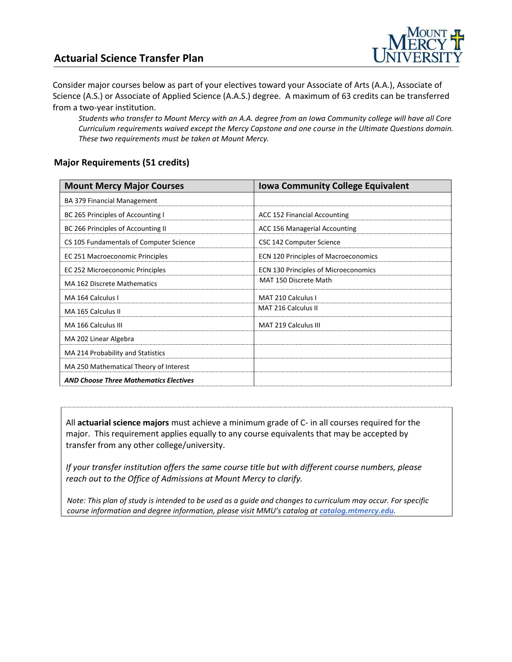### **Actuarial Science Transfer Plan**



Consider major courses below as part of your electives toward your Associate of Arts (A.A.), Associate of Science (A.S.) or Associate of Applied Science (A.A.S.) degree. A maximum of 63 credits can be transferred from a two-year institution.

*Students who transfer to Mount Mercy with an A.A. degree from an Iowa Community college will have all Core Curriculum requirements waived except the Mercy Capstone and one course in the Ultimate Questions domain. These two requirements must be taken at Mount Mercy.* 

#### **Major Requirements (51 credits)**

| <b>Mount Mercy Major Courses</b>              | <b>Iowa Community College Equivalent</b>    |
|-----------------------------------------------|---------------------------------------------|
| <b>BA 379 Financial Management</b>            |                                             |
| BC 265 Principles of Accounting I             | ACC 152 Financial Accounting                |
| BC 266 Principles of Accounting II            | ACC 156 Managerial Accounting               |
| CS 105 Fundamentals of Computer Science       | CSC 142 Computer Science                    |
| EC 251 Macroeconomic Principles               | <b>ECN 120 Principles of Macroeconomics</b> |
| EC 252 Microeconomic Principles               | ECN 130 Principles of Microeconomics        |
| MA 162 Discrete Mathematics                   | MAT 150 Discrete Math                       |
| MA 164 Calculus I                             | MAT 210 Calculus I                          |
| MA 165 Calculus II                            | MAT 216 Calculus II                         |
| MA 166 Calculus III                           | <b>MAT 219 Calculus III</b>                 |
| MA 202 Linear Algebra                         |                                             |
| MA 214 Probability and Statistics             |                                             |
| MA 250 Mathematical Theory of Interest        |                                             |
| <b>AND Choose Three Mathematics Electives</b> |                                             |

All **actuarial science majors** must achieve a minimum grade of C- in all courses required for the major. This requirement applies equally to any course equivalents that may be accepted by transfer from any other college/university.

*If your transfer institution offers the same course title but with different course numbers, please reach out to the Office of Admissions at Mount Mercy to clarify.*

*Note: This plan of study is intended to be used as a guide and changes to curriculum may occur. For specific course information and degree information, please visit MMU's catalog at <i>catalog.mtmercy.edu*.